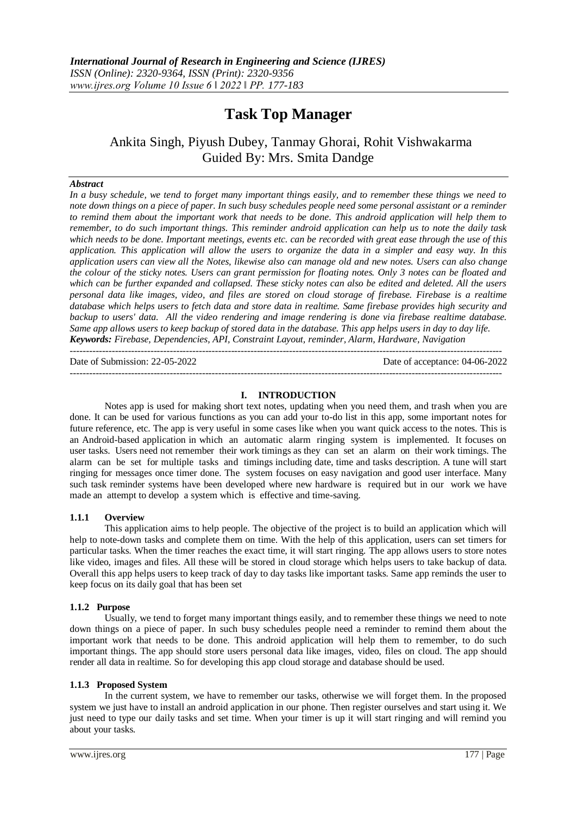# **Task Top Manager**

## Ankita Singh, Piyush Dubey, Tanmay Ghorai, Rohit Vishwakarma Guided By: Mrs. Smita Dandge

#### *Abstract*

*In a busy schedule, we tend to forget many important things easily, and to remember these things we need to note down things on a piece of paper. In such busy schedules people need some personal assistant or a reminder to remind them about the important work that needs to be done. This android application will help them to remember, to do such important things. This reminder android application can help us to note the daily task which needs to be done. Important meetings, events etc. can be recorded with great ease through the use of this application. This application will allow the users to organize the data in a simpler and easy way. In this application users can view all the Notes, likewise also can manage old and new notes. Users can also change the colour of the sticky notes. Users can grant permission for floating notes. Only 3 notes can be floated and which can be further expanded and collapsed. These sticky notes can also be edited and deleted. All the users personal data like images, video, and files are stored on cloud storage of firebase. Firebase is a realtime database which helps users to fetch data and store data in realtime. Same firebase provides high security and backup to users' data. All the video rendering and image rendering is done via firebase realtime database. Same app allows users to keep backup of stored data in the database. This app helps users in day to day life. Keywords: Firebase, Dependencies, API, Constraint Layout, reminder, Alarm, Hardware, Navigation*

Date of Submission: 22-05-2022 Date of acceptance: 04-06-2022

--------------------------------------------------------------------------------------------------------------------------------------

#### **I. INTRODUCTION**

--------------------------------------------------------------------------------------------------------------------------------------

Notes app is used for making short text notes, updating when you need them, and trash when you are done. It can be used for various functions as you can add your to-do list in this app, some important notes for future reference, etc. The app is very useful in some cases like when you want quick access to the notes. This is an Android-based application in which an automatic alarm ringing system is implemented. It focuses on user tasks. Users need not remember their work timings as they can set an alarm on their work timings. The alarm can be set for multiple tasks and timings including date, time and tasks description. A tune will start ringing for messages once timer done. The system focuses on easy navigation and good user interface. Many such task reminder systems have been developed where new hardware is required but in our work we have made an attempt to develop a system which is effective and time-saving.

#### **1.1.1 Overview**

This application aims to help people. The objective of the project is to build an application which will help to note-down tasks and complete them on time. With the help of this application, users can set timers for particular tasks. When the timer reaches the exact time, it will start ringing. The app allows users to store notes like video, images and files. All these will be stored in cloud storage which helps users to take backup of data. Overall this app helps users to keep track of day to day tasks like important tasks. Same app reminds the user to keep focus on its daily goal that has been set

#### **1.1.2 Purpose**

Usually, we tend to forget many important things easily, and to remember these things we need to note down things on a piece of paper. In such busy schedules people need a reminder to remind them about the important work that needs to be done. This android application will help them to remember, to do such important things. The app should store users personal data like images, video, files on cloud. The app should render all data in realtime. So for developing this app cloud storage and database should be used.

#### **1.1.3 Proposed System**

In the current system, we have to remember our tasks, otherwise we will forget them. In the proposed system we just have to install an android application in our phone. Then register ourselves and start using it. We just need to type our daily tasks and set time. When your timer is up it will start ringing and will remind you about your tasks.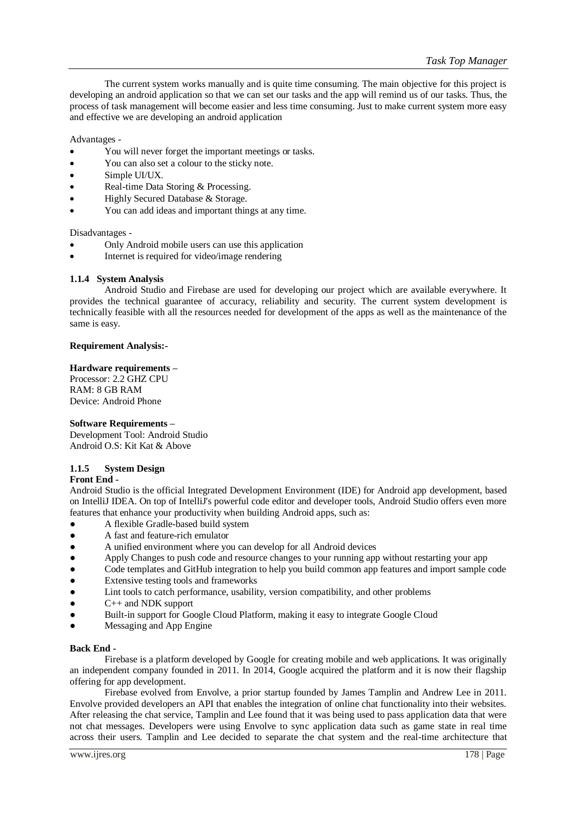The current system works manually and is quite time consuming. The main objective for this project is developing an android application so that we can set our tasks and the app will remind us of our tasks. Thus, the process of task management will become easier and less time consuming. Just to make current system more easy and effective we are developing an android application

Advantages -

- You will never forget the important meetings or tasks.
- You can also set a colour to the sticky note.
- Simple UI/UX.
- Real-time Data Storing & Processing.
- Highly Secured Database & Storage.
- You can add ideas and important things at any time.

Disadvantages -

- Only Android mobile users can use this application
- Internet is required for video/image rendering

#### **1.1.4 System Analysis**

Android Studio and Firebase are used for developing our project which are available everywhere. It provides the technical guarantee of accuracy, reliability and security. The current system development is technically feasible with all the resources needed for development of the apps as well as the maintenance of the same is easy.

#### **Requirement Analysis:-**

#### **Hardware requirements –**

Processor: 2.2 GHZ CPU RAM: 8 GB RAM Device: Android Phone

#### **Software Requirements –**

Development Tool: Android Studio Android O.S: Kit Kat & Above

#### **1.1.5 System Design**

#### **Front End -**

Android Studio is the official Integrated Development Environment (IDE) for Android app development, based on IntelliJ IDEA. On top of IntelliJ's powerful code editor and developer tools, Android Studio offers even more features that enhance your productivity when building Android apps, such as:

- A flexible Gradle-based build system
- A fast and feature-rich emulator
- A unified environment where you can develop for all Android devices
- Apply Changes to push code and resource changes to your running app without restarting your app
- Code templates and GitHub integration to help you build common app features and import sample code
- Extensive testing tools and frameworks
- Lint tools to catch performance, usability, version compatibility, and other problems
- C++ and NDK support
- Built-in support for Google Cloud Platform, making it easy to integrate Google Cloud
- Messaging and App Engine

#### **Back End -**

Firebase is a platform developed by Google for creating mobile and web applications. It was originally an independent company founded in 2011. In 2014, Google acquired the platform and it is now their flagship offering for app development.

Firebase evolved from Envolve, a prior startup founded by James Tamplin and Andrew Lee in 2011. Envolve provided developers an API that enables the integration of online chat functionality into their websites. After releasing the chat service, Tamplin and Lee found that it was being used to pass application data that were not chat messages. Developers were using Envolve to sync application data such as game state in real time across their users. Tamplin and Lee decided to separate the chat system and the real-time architecture that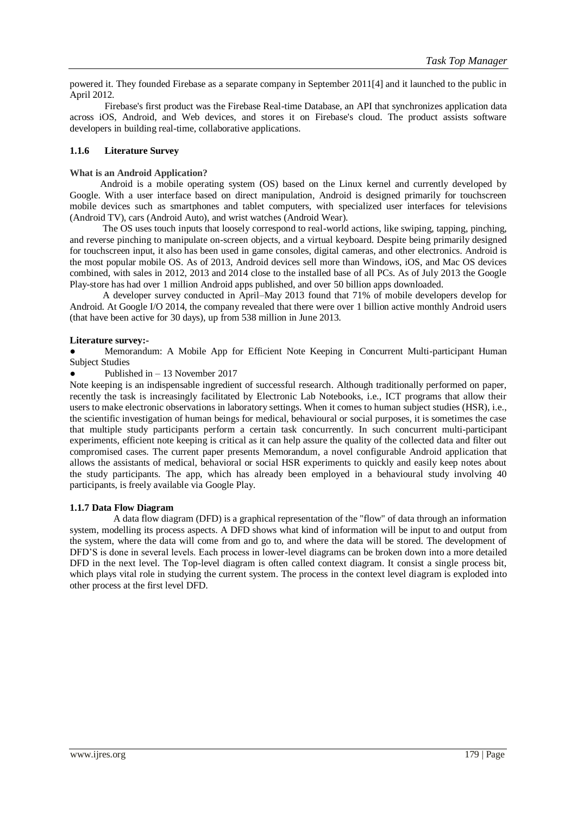powered it. They founded Firebase as a separate company in September 2011[4] and it launched to the public in April 2012.

Firebase's first product was the Firebase Real-time Database, an API that synchronizes application data across iOS, Android, and Web devices, and stores it on Firebase's cloud. The product assists software developers in building real-time, collaborative applications.

#### **1.1.6 Literature Survey**

#### **What is an Android Application?**

Android is a mobile operating system (OS) based on the Linux kernel and currently developed by Google. With a user interface based on direct manipulation, Android is designed primarily for touchscreen mobile devices such as smartphones and tablet computers, with specialized user interfaces for televisions (Android TV), cars (Android Auto), and wrist watches (Android Wear).

The OS uses touch inputs that loosely correspond to real-world actions, like swiping, tapping, pinching, and reverse pinching to manipulate on-screen objects, and a virtual keyboard. Despite being primarily designed for touchscreen input, it also has been used in game consoles, digital cameras, and other electronics. Android is the most popular mobile OS. As of 2013, Android devices sell more than Windows, iOS, and Mac OS devices combined, with sales in 2012, 2013 and 2014 close to the installed base of all PCs. As of July 2013 the Google Play-store has had over 1 million Android apps published, and over 50 billion apps downloaded.

A developer survey conducted in April–May 2013 found that 71% of mobile developers develop for Android. At Google I/O 2014, the company revealed that there were over 1 billion active monthly Android users (that have been active for 30 days), up from 538 million in June 2013.

#### **Literature survey:-**

Memorandum: A Mobile App for Efficient Note Keeping in Concurrent Multi-participant Human Subject Studies

Published in  $-13$  November 2017

Note keeping is an indispensable ingredient of successful research. Although traditionally performed on paper, recently the task is increasingly facilitated by Electronic Lab Notebooks, i.e., ICT programs that allow their users to make electronic observations in laboratory settings. When it comes to human subject studies (HSR), i.e., the scientific investigation of human beings for medical, behavioural or social purposes, it is sometimes the case that multiple study participants perform a certain task concurrently. In such concurrent multi-participant experiments, efficient note keeping is critical as it can help assure the quality of the collected data and filter out compromised cases. The current paper presents Memorandum, a novel configurable Android application that allows the assistants of medical, behavioral or social HSR experiments to quickly and easily keep notes about the study participants. The app, which has already been employed in a behavioural study involving 40 participants, is freely available via Google Play.

#### **1.1.7 Data Flow Diagram**

A data flow diagram (DFD) is a graphical representation of the "flow" of data through an information system, modelling its process aspects. A DFD shows what kind of information will be input to and output from the system, where the data will come from and go to, and where the data will be stored. The development of DFD'S is done in several levels. Each process in lower-level diagrams can be broken down into a more detailed DFD in the next level. The Top-level diagram is often called context diagram. It consist a single process bit, which plays vital role in studying the current system. The process in the context level diagram is exploded into other process at the first level DFD.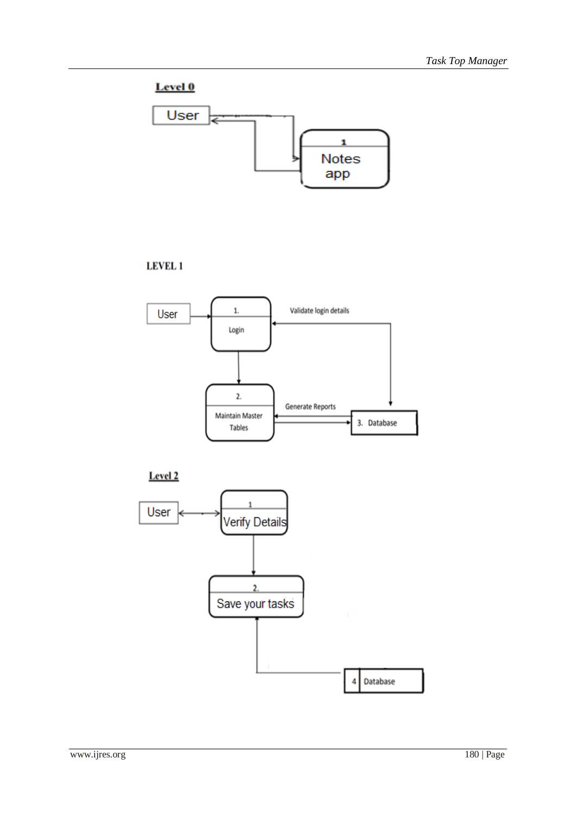## Level 0



### **LEVEL 1**



Level<sub>2</sub>

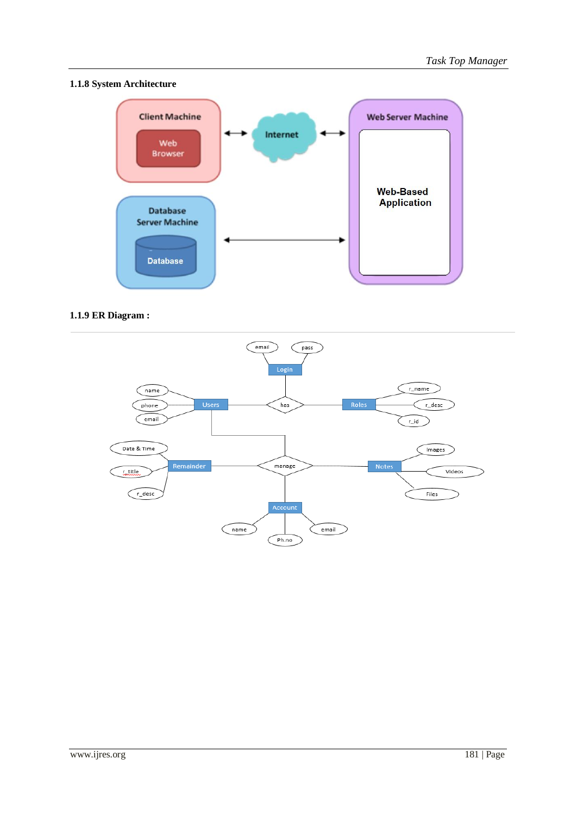### **1.1.8 System Architecture**



### **1.1.9 ER Diagram :**

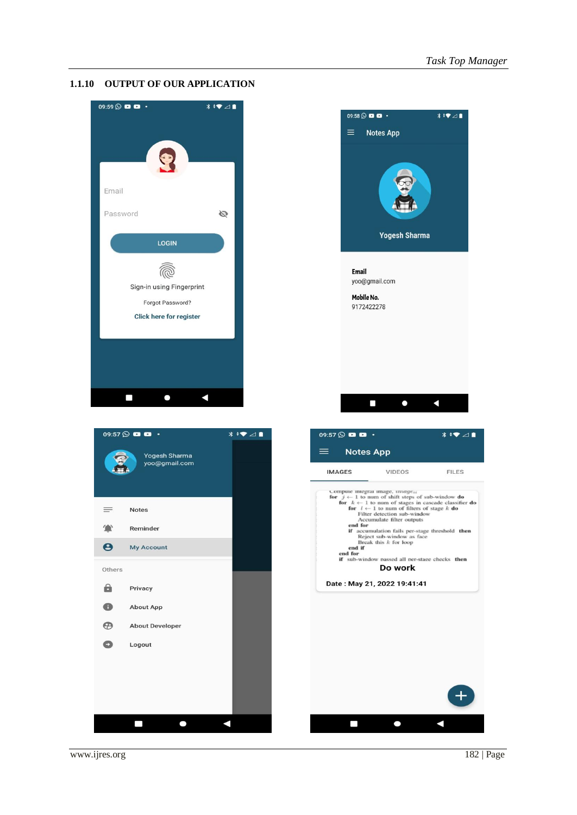#### **1.1.10 OUTPUT OF OUR APPLICATION**



![](_page_5_Picture_3.jpeg)

 $\Box$ 

 $\bullet$ 

Δ